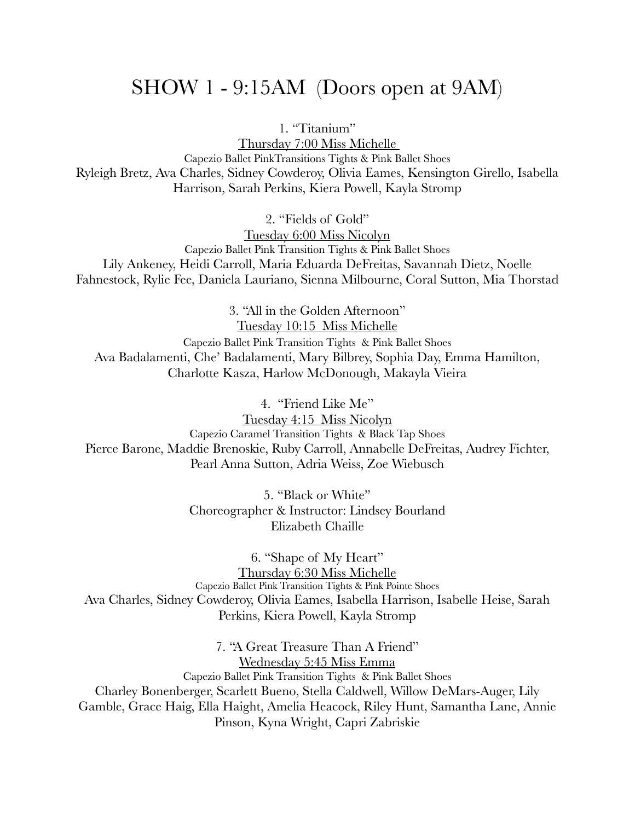### SHOW 1 - 9:15AM (Doors open at 9AM)

1. "Titanium"

Thursday 7:00 Miss Michelle Capezio Ballet PinkTransitions Tights & Pink Ballet Shoes Ryleigh Bretz, Ava Charles, Sidney Cowderoy, Olivia Eames, Kensington Girello, Isabella Harrison, Sarah Perkins, Kiera Powell, Kayla Stromp

2. "Fields of Gold"

Tuesday 6:00 Miss Nicolyn Capezio Ballet Pink Transition Tights & Pink Ballet Shoes Lily Ankeney, Heidi Carroll, Maria Eduarda DeFreitas, Savannah Dietz, Noelle Fahnestock, Rylie Fee, Daniela Lauriano, Sienna Milbourne, Coral Sutton, Mia Thorstad

3. "All in the Golden Afternoon" Tuesday 10:15 Miss Michelle Capezio Ballet Pink Transition Tights & Pink Ballet Shoes Ava Badalamenti, Che' Badalamenti, Mary Bilbrey, Sophia Day, Emma Hamilton, Charlotte Kasza, Harlow McDonough, Makayla Vieira

4. "Friend Like Me"

Tuesday 4:15 Miss Nicolyn Capezio Caramel Transition Tights & Black Tap Shoes Pierce Barone, Maddie Brenoskie, Ruby Carroll, Annabelle DeFreitas, Audrey Fichter, Pearl Anna Sutton, Adria Weiss, Zoe Wiebusch

> 5. "Black or White" Choreographer & Instructor: Lindsey Bourland Elizabeth Chaille

6. "Shape of My Heart" Thursday 6:30 Miss Michelle Capezio Ballet Pink Transition Tights & Pink Pointe Shoes Ava Charles, Sidney Cowderoy, Olivia Eames, Isabella Harrison, Isabelle Heise, Sarah Perkins, Kiera Powell, Kayla Stromp

7. "A Great Treasure Than A Friend" Wednesday 5:45 Miss Emma Capezio Ballet Pink Transition Tights & Pink Ballet Shoes Charley Bonenberger, Scarlett Bueno, Stella Caldwell, Willow DeMars-Auger, Lily Gamble, Grace Haig, Ella Haight, Amelia Heacock, Riley Hunt, Samantha Lane, Annie Pinson, Kyna Wright, Capri Zabriskie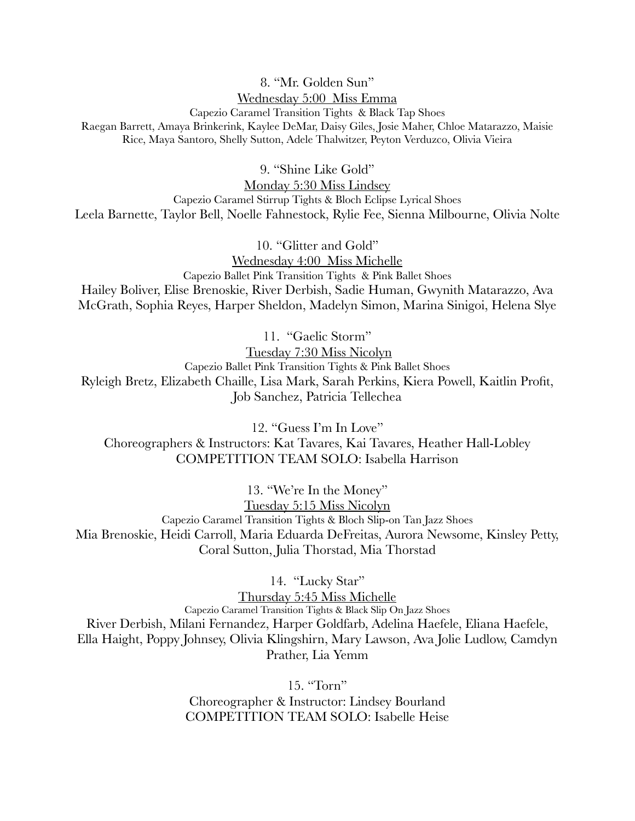#### 8. "Mr. Golden Sun" Wednesday 5:00 Miss Emma

Capezio Caramel Transition Tights & Black Tap Shoes Raegan Barrett, Amaya Brinkerink, Kaylee DeMar, Daisy Giles, Josie Maher, Chloe Matarazzo, Maisie Rice, Maya Santoro, Shelly Sutton, Adele Thalwitzer, Peyton Verduzco, Olivia Vieira

9. "Shine Like Gold"

Monday 5:30 Miss Lindsey Capezio Caramel Stirrup Tights & Bloch Eclipse Lyrical Shoes Leela Barnette, Taylor Bell, Noelle Fahnestock, Rylie Fee, Sienna Milbourne, Olivia Nolte

10. "Glitter and Gold" Wednesday 4:00 Miss Michelle Capezio Ballet Pink Transition Tights & Pink Ballet Shoes Hailey Boliver, Elise Brenoskie, River Derbish, Sadie Human, Gwynith Matarazzo, Ava McGrath, Sophia Reyes, Harper Sheldon, Madelyn Simon, Marina Sinigoi, Helena Slye

11. "Gaelic Storm" Tuesday 7:30 Miss Nicolyn Capezio Ballet Pink Transition Tights & Pink Ballet Shoes Ryleigh Bretz, Elizabeth Chaille, Lisa Mark, Sarah Perkins, Kiera Powell, Kaitlin Profit, Job Sanchez, Patricia Tellechea

12. "Guess I'm In Love" Choreographers & Instructors: Kat Tavares, Kai Tavares, Heather Hall-Lobley COMPETITION TEAM SOLO: Isabella Harrison

13. "We're In the Money" Tuesday 5:15 Miss Nicolyn Capezio Caramel Transition Tights & Bloch Slip-on Tan Jazz Shoes Mia Brenoskie, Heidi Carroll, Maria Eduarda DeFreitas, Aurora Newsome, Kinsley Petty, Coral Sutton, Julia Thorstad, Mia Thorstad

14. "Lucky Star"

Thursday 5:45 Miss Michelle Capezio Caramel Transition Tights & Black Slip On Jazz Shoes River Derbish, Milani Fernandez, Harper Goldfarb, Adelina Haefele, Eliana Haefele, Ella Haight, Poppy Johnsey, Olivia Klingshirn, Mary Lawson, Ava Jolie Ludlow, Camdyn Prather, Lia Yemm

> 15. "Torn" Choreographer & Instructor: Lindsey Bourland COMPETITION TEAM SOLO: Isabelle Heise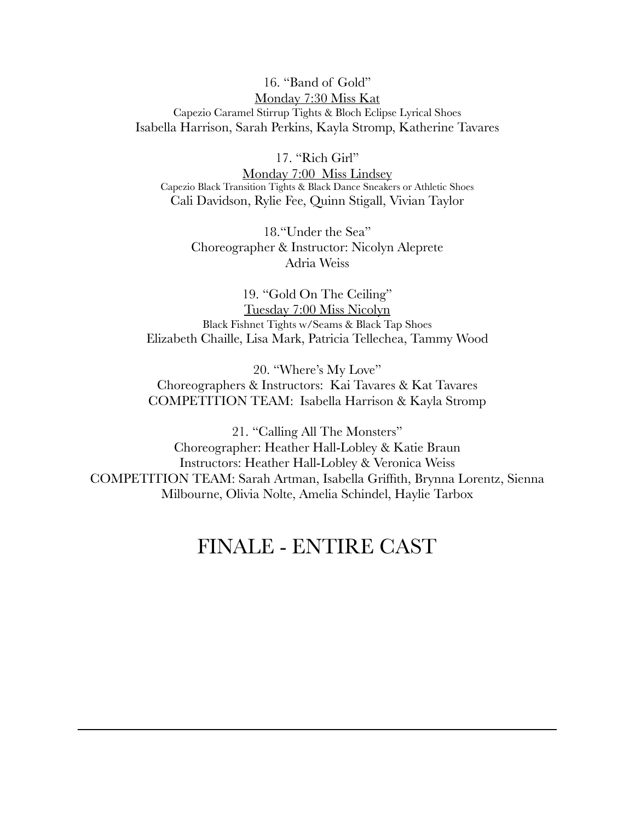#### 16. "Band of Gold" Monday 7:30 Miss Kat Capezio Caramel Stirrup Tights & Bloch Eclipse Lyrical Shoes Isabella Harrison, Sarah Perkins, Kayla Stromp, Katherine Tavares

17. "Rich Girl"

Monday 7:00 Miss Lindsey Capezio Black Transition Tights & Black Dance Sneakers or Athletic Shoes Cali Davidson, Rylie Fee, Quinn Stigall, Vivian Taylor

18."Under the Sea" Choreographer & Instructor: Nicolyn Aleprete Adria Weiss

19. "Gold On The Ceiling" Tuesday 7:00 Miss Nicolyn Black Fishnet Tights w/Seams & Black Tap Shoes Elizabeth Chaille, Lisa Mark, Patricia Tellechea, Tammy Wood

20. "Where's My Love" Choreographers & Instructors: Kai Tavares & Kat Tavares COMPETITION TEAM: Isabella Harrison & Kayla Stromp

21. "Calling All The Monsters" Choreographer: Heather Hall-Lobley & Katie Braun Instructors: Heather Hall-Lobley & Veronica Weiss COMPETITION TEAM: Sarah Artman, Isabella Griffith, Brynna Lorentz, Sienna Milbourne, Olivia Nolte, Amelia Schindel, Haylie Tarbox

## FINALE - ENTIRE CAST

 $\mathcal{L}=\{1,2,3,4,5\}$  , where  $\mathcal{L}=\{1,2,3,4,5\}$  , where  $\mathcal{L}=\{1,2,3,4,5\}$  ,  $\mathcal{L}=\{1,2,3,4,5\}$  ,  $\mathcal{L}=\{1,2,3,4,5\}$  ,  $\mathcal{L}=\{1,2,3,4,5\}$  ,  $\mathcal{L}=\{1,2,3,4,5\}$  ,  $\mathcal{L}=\{1,2,3,4,5\}$  ,  $\mathcal{L}=\{1,2,3,4,$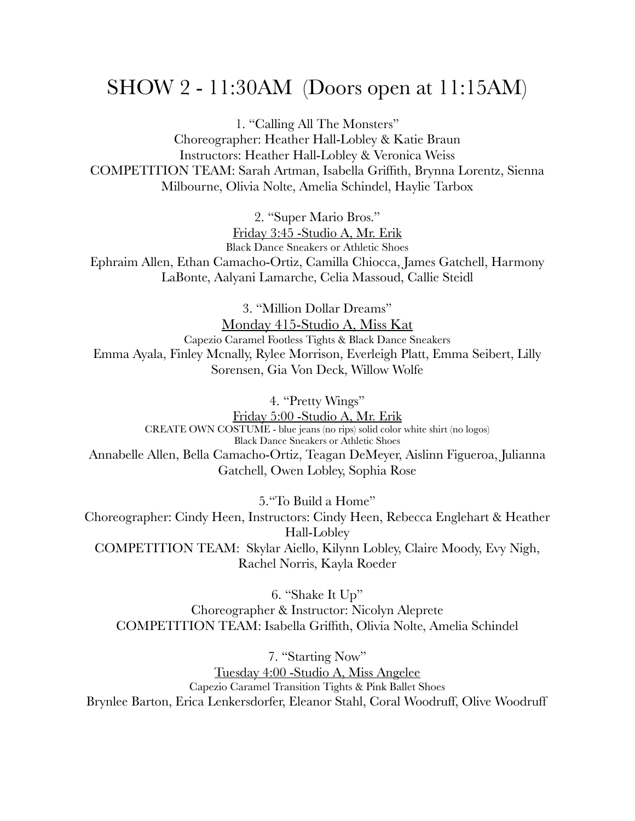### SHOW 2 - 11:30AM (Doors open at 11:15AM)

1. "Calling All The Monsters" Choreographer: Heather Hall-Lobley & Katie Braun Instructors: Heather Hall-Lobley & Veronica Weiss COMPETITION TEAM: Sarah Artman, Isabella Griffith, Brynna Lorentz, Sienna Milbourne, Olivia Nolte, Amelia Schindel, Haylie Tarbox

2. "Super Mario Bros."

Friday 3:45 -Studio A, Mr. Erik Black Dance Sneakers or Athletic Shoes Ephraim Allen, Ethan Camacho-Ortiz, Camilla Chiocca, James Gatchell, Harmony LaBonte, Aalyani Lamarche, Celia Massoud, Callie Steidl

3. "Million Dollar Dreams" Monday 415-Studio A, Miss Kat Capezio Caramel Footless Tights & Black Dance Sneakers Emma Ayala, Finley Mcnally, Rylee Morrison, Everleigh Platt, Emma Seibert, Lilly Sorensen, Gia Von Deck, Willow Wolfe

4. "Pretty Wings"

Friday 5:00 -Studio A, Mr. Erik<br>CREATE OWN COSTUME - blue jeans (no rips) solid color white shirt (no logos) Black Dance Sneakers or Athletic Shoes Annabelle Allen, Bella Camacho-Ortiz, Teagan DeMeyer, Aislinn Figueroa, Julianna Gatchell, Owen Lobley, Sophia Rose

5."To Build a Home" Choreographer: Cindy Heen, Instructors: Cindy Heen, Rebecca Englehart & Heather Hall-Lobley COMPETITION TEAM: Skylar Aiello, Kilynn Lobley, Claire Moody, Evy Nigh, Rachel Norris, Kayla Roeder

6. "Shake It Up" Choreographer & Instructor: Nicolyn Aleprete COMPETITION TEAM: Isabella Griffith, Olivia Nolte, Amelia Schindel

7. "Starting Now" Tuesday 4:00 -Studio A, Miss Angelee Capezio Caramel Transition Tights & Pink Ballet Shoes Brynlee Barton, Erica Lenkersdorfer, Eleanor Stahl, Coral Woodruff, Olive Woodruff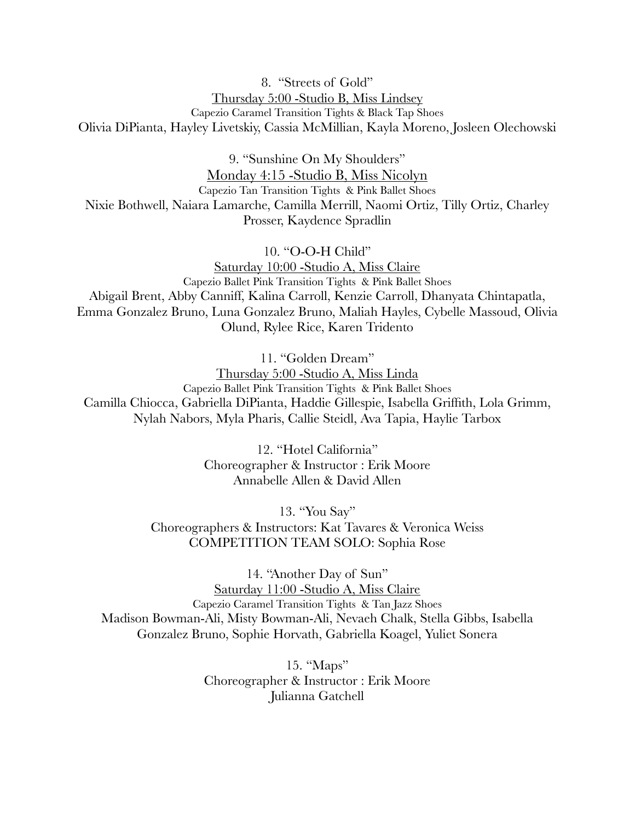#### 8. "Streets of Gold" Thursday 5:00 -Studio B, Miss Lindsey Capezio Caramel Transition Tights & Black Tap Shoes Olivia DiPianta, Hayley Livetskiy, Cassia McMillian, Kayla Moreno, Josleen Olechowski

9. "Sunshine On My Shoulders" Monday 4:15 -Studio B, Miss Nicolyn Capezio Tan Transition Tights & Pink Ballet Shoes Nixie Bothwell, Naiara Lamarche, Camilla Merrill, Naomi Ortiz, Tilly Ortiz, Charley Prosser, Kaydence Spradlin

10. "O-O-H Child"

Saturday 10:00 -Studio A, Miss Claire Capezio Ballet Pink Transition Tights & Pink Ballet Shoes Abigail Brent, Abby Canniff, Kalina Carroll, Kenzie Carroll, Dhanyata Chintapatla, Emma Gonzalez Bruno, Luna Gonzalez Bruno, Maliah Hayles, Cybelle Massoud, Olivia Olund, Rylee Rice, Karen Tridento

11. "Golden Dream"

Thursday 5:00 -Studio A, Miss Linda Capezio Ballet Pink Transition Tights & Pink Ballet Shoes Camilla Chiocca, Gabriella DiPianta, Haddie Gillespie, Isabella Griffith, Lola Grimm, Nylah Nabors, Myla Pharis, Callie Steidl, Ava Tapia, Haylie Tarbox

> 12. "Hotel California" Choreographer & Instructor : Erik Moore Annabelle Allen & David Allen

13. "You Say" Choreographers & Instructors: Kat Tavares & Veronica Weiss COMPETITION TEAM SOLO: Sophia Rose

14. "Another Day of Sun" Saturday 11:00 -Studio A, Miss Claire Capezio Caramel Transition Tights & Tan Jazz Shoes Madison Bowman-Ali, Misty Bowman-Ali, Nevaeh Chalk, Stella Gibbs, Isabella Gonzalez Bruno, Sophie Horvath, Gabriella Koagel, Yuliet Sonera

> 15. "Maps" Choreographer & Instructor : Erik Moore Julianna Gatchell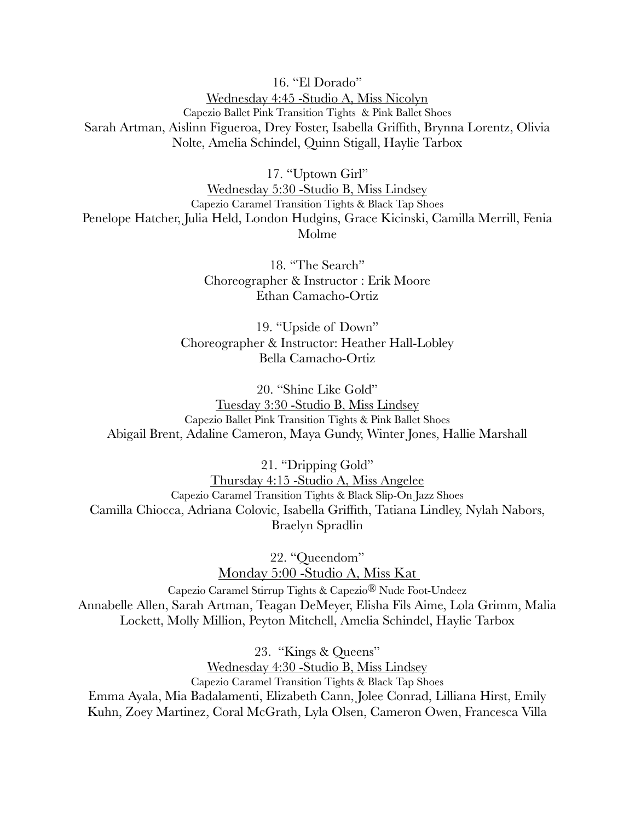16. "El Dorado" Wednesday 4:45 -Studio A, Miss Nicolyn Capezio Ballet Pink Transition Tights & Pink Ballet Shoes Sarah Artman, Aislinn Figueroa, Drey Foster, Isabella Griffith, Brynna Lorentz, Olivia Nolte, Amelia Schindel, Quinn Stigall, Haylie Tarbox

17. "Uptown Girl"

Wednesday 5:30 -Studio B, Miss Lindsey Capezio Caramel Transition Tights & Black Tap Shoes Penelope Hatcher, Julia Held, London Hudgins, Grace Kicinski, Camilla Merrill, Fenia Molme

> 18. "The Search" Choreographer & Instructor : Erik Moore Ethan Camacho-Ortiz

19. "Upside of Down" Choreographer & Instructor: Heather Hall-Lobley Bella Camacho-Ortiz

20. "Shine Like Gold" Tuesday 3:30 -Studio B, Miss Lindsey Capezio Ballet Pink Transition Tights & Pink Ballet Shoes Abigail Brent, Adaline Cameron, Maya Gundy, Winter Jones, Hallie Marshall

21. "Dripping Gold" Thursday 4:15 -Studio A, Miss Angelee Capezio Caramel Transition Tights & Black Slip-On Jazz Shoes Camilla Chiocca, Adriana Colovic, Isabella Griffith, Tatiana Lindley, Nylah Nabors, Braelyn Spradlin

> 22. "Queendom" Monday 5:00 -Studio A, Miss Kat

Capezio Caramel Stirrup Tights & Capezio® Nude Foot-Undeez Annabelle Allen, Sarah Artman, Teagan DeMeyer, Elisha Fils Aime, Lola Grimm, Malia Lockett, Molly Million, Peyton Mitchell, Amelia Schindel, Haylie Tarbox

23. "Kings & Queens"

Wednesday 4:30 -Studio B, Miss Lindsey Capezio Caramel Transition Tights & Black Tap Shoes Emma Ayala, Mia Badalamenti, Elizabeth Cann, Jolee Conrad, Lilliana Hirst, Emily Kuhn, Zoey Martinez, Coral McGrath, Lyla Olsen, Cameron Owen, Francesca Villa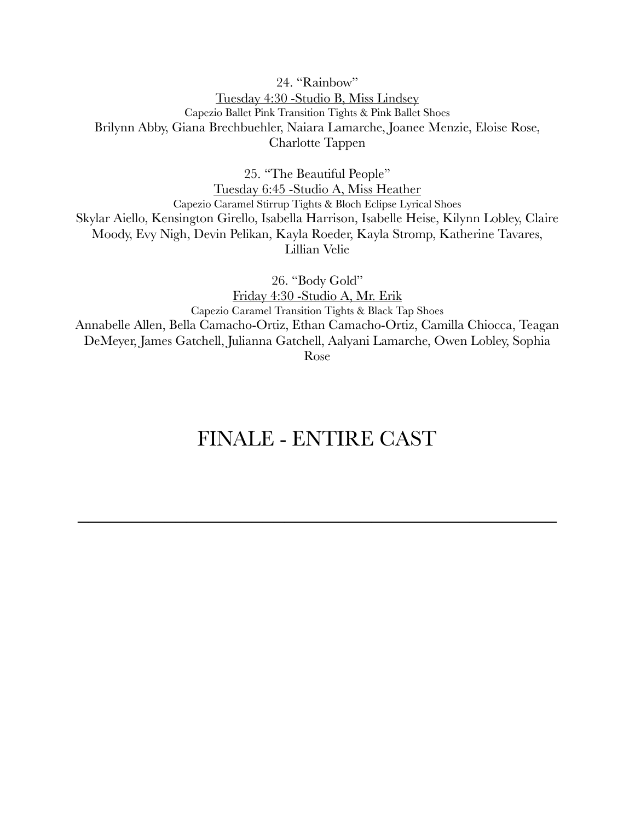### 24. "Rainbow" Tuesday 4:30 -Studio B, Miss Lindsey Capezio Ballet Pink Transition Tights & Pink Ballet Shoes Brilynn Abby, Giana Brechbuehler, Naiara Lamarche, Joanee Menzie, Eloise Rose, Charlotte Tappen

25. "The Beautiful People"

Tuesday 6:45 -Studio A, Miss Heather Capezio Caramel Stirrup Tights & Bloch Eclipse Lyrical Shoes Skylar Aiello, Kensington Girello, Isabella Harrison, Isabelle Heise, Kilynn Lobley, Claire Moody, Evy Nigh, Devin Pelikan, Kayla Roeder, Kayla Stromp, Katherine Tavares, Lillian Velie

26. "Body Gold" Friday 4:30 -Studio A, Mr. Erik Capezio Caramel Transition Tights & Black Tap Shoes Annabelle Allen, Bella Camacho-Ortiz, Ethan Camacho-Ortiz, Camilla Chiocca, Teagan DeMeyer, James Gatchell, Julianna Gatchell, Aalyani Lamarche, Owen Lobley, Sophia Rose

## FINALE - ENTIRE CAST

 $\overline{\phantom{a}}$  , and the contract of the contract of the contract of the contract of the contract of the contract of the contract of the contract of the contract of the contract of the contract of the contract of the contrac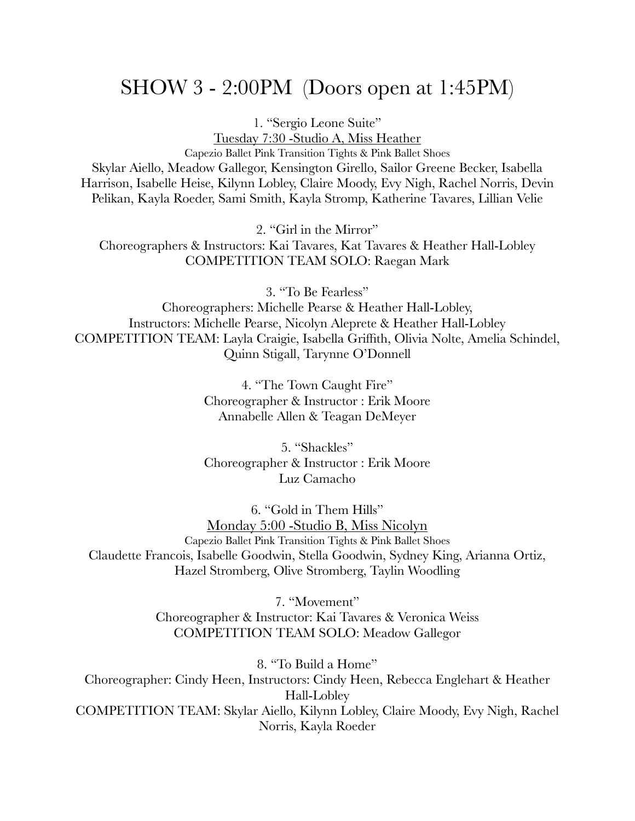### SHOW 3 - 2:00PM (Doors open at 1:45PM)

1. "Sergio Leone Suite"

Tuesday 7:30 -Studio A, Miss Heather Capezio Ballet Pink Transition Tights & Pink Ballet Shoes Skylar Aiello, Meadow Gallegor, Kensington Girello, Sailor Greene Becker, Isabella Harrison, Isabelle Heise, Kilynn Lobley, Claire Moody, Evy Nigh, Rachel Norris, Devin Pelikan, Kayla Roeder, Sami Smith, Kayla Stromp, Katherine Tavares, Lillian Velie

2. "Girl in the Mirror"

Choreographers & Instructors: Kai Tavares, Kat Tavares & Heather Hall-Lobley COMPETITION TEAM SOLO: Raegan Mark

3. "To Be Fearless"

Choreographers: Michelle Pearse & Heather Hall-Lobley, Instructors: Michelle Pearse, Nicolyn Aleprete & Heather Hall-Lobley COMPETITION TEAM: Layla Craigie, Isabella Griffith, Olivia Nolte, Amelia Schindel, Quinn Stigall, Tarynne O'Donnell

> 4. "The Town Caught Fire" Choreographer & Instructor : Erik Moore Annabelle Allen & Teagan DeMeyer

> 5. "Shackles" Choreographer & Instructor : Erik Moore Luz Camacho

6. "Gold in Them Hills" Monday 5:00 -Studio B, Miss Nicolyn Capezio Ballet Pink Transition Tights & Pink Ballet Shoes Claudette Francois, Isabelle Goodwin, Stella Goodwin, Sydney King, Arianna Ortiz, Hazel Stromberg, Olive Stromberg, Taylin Woodling

> 7. "Movement" Choreographer & Instructor: Kai Tavares & Veronica Weiss COMPETITION TEAM SOLO: Meadow Gallegor

8. "To Build a Home" Choreographer: Cindy Heen, Instructors: Cindy Heen, Rebecca Englehart & Heather Hall-Lobley COMPETITION TEAM: Skylar Aiello, Kilynn Lobley, Claire Moody, Evy Nigh, Rachel Norris, Kayla Roeder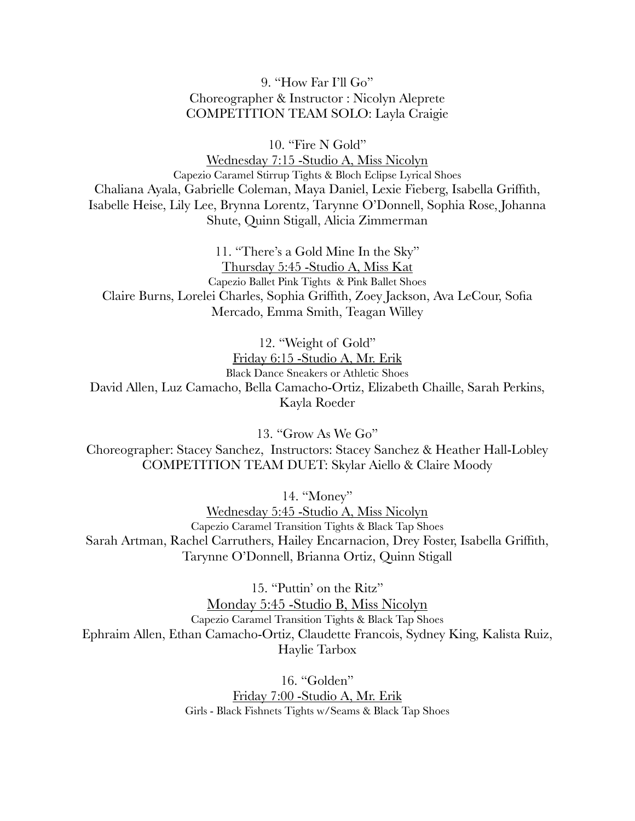9. "How Far I'll Go" Choreographer & Instructor : Nicolyn Aleprete COMPETITION TEAM SOLO: Layla Craigie

10. "Fire N Gold"

Wednesday 7:15 -Studio A, Miss Nicolyn Capezio Caramel Stirrup Tights & Bloch Eclipse Lyrical Shoes Chaliana Ayala, Gabrielle Coleman, Maya Daniel, Lexie Fieberg, Isabella Griffith, Isabelle Heise, Lily Lee, Brynna Lorentz, Tarynne O'Donnell, Sophia Rose, Johanna Shute, Quinn Stigall, Alicia Zimmerman

11. "There's a Gold Mine In the Sky" Thursday 5:45 -Studio A, Miss Kat Capezio Ballet Pink Tights & Pink Ballet Shoes Claire Burns, Lorelei Charles, Sophia Griffith, Zoey Jackson, Ava LeCour, Sofia Mercado, Emma Smith, Teagan Willey

12. "Weight of Gold" Friday 6:15 -Studio A, Mr. Erik Black Dance Sneakers or Athletic Shoes David Allen, Luz Camacho, Bella Camacho-Ortiz, Elizabeth Chaille, Sarah Perkins, Kayla Roeder

13. "Grow As We Go"

Choreographer: Stacey Sanchez, Instructors: Stacey Sanchez & Heather Hall-Lobley COMPETITION TEAM DUET: Skylar Aiello & Claire Moody

14. "Money"

Wednesday 5:45 -Studio A, Miss Nicolyn Capezio Caramel Transition Tights & Black Tap Shoes Sarah Artman, Rachel Carruthers, Hailey Encarnacion, Drey Foster, Isabella Griffith, Tarynne O'Donnell, Brianna Ortiz, Quinn Stigall

15. "Puttin' on the Ritz" Monday 5:45 -Studio B, Miss Nicolyn Capezio Caramel Transition Tights & Black Tap Shoes Ephraim Allen, Ethan Camacho-Ortiz, Claudette Francois, Sydney King, Kalista Ruiz, Haylie Tarbox

> 16. "Golden" Friday 7:00 -Studio A, Mr. Erik Girls - Black Fishnets Tights w/Seams & Black Tap Shoes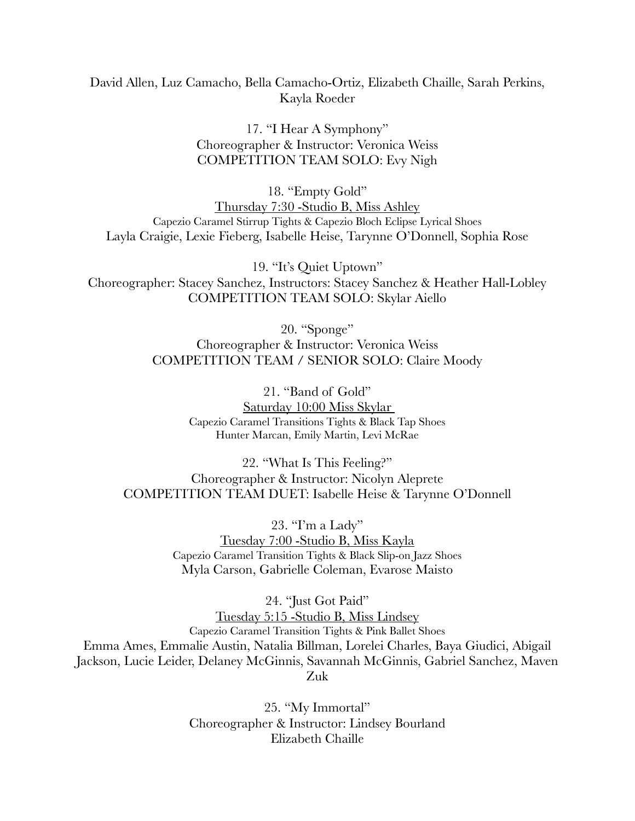#### David Allen, Luz Camacho, Bella Camacho-Ortiz, Elizabeth Chaille, Sarah Perkins, Kayla Roeder

17. "I Hear A Symphony" Choreographer & Instructor: Veronica Weiss COMPETITION TEAM SOLO: Evy Nigh

18. "Empty Gold" Thursday 7:30 -Studio B, Miss Ashley Capezio Caramel Stirrup Tights & Capezio Bloch Eclipse Lyrical Shoes Layla Craigie, Lexie Fieberg, Isabelle Heise, Tarynne O'Donnell, Sophia Rose

19. "It's Quiet Uptown" Choreographer: Stacey Sanchez, Instructors: Stacey Sanchez & Heather Hall-Lobley COMPETITION TEAM SOLO: Skylar Aiello

> 20. "Sponge" Choreographer & Instructor: Veronica Weiss COMPETITION TEAM / SENIOR SOLO: Claire Moody

> > 21. "Band of Gold" Saturday 10:00 Miss Skylar Capezio Caramel Transitions Tights & Black Tap Shoes Hunter Marcan, Emily Martin, Levi McRae

22. "What Is This Feeling?" Choreographer & Instructor: Nicolyn Aleprete COMPETITION TEAM DUET: Isabelle Heise & Tarynne O'Donnell

> 23. "I'm a Lady" Tuesday 7:00 -Studio B, Miss Kayla Capezio Caramel Transition Tights & Black Slip-on Jazz Shoes Myla Carson, Gabrielle Coleman, Evarose Maisto

24. "Just Got Paid" Tuesday 5:15 -Studio B, Miss Lindsey Capezio Caramel Transition Tights & Pink Ballet Shoes Emma Ames, Emmalie Austin, Natalia Billman, Lorelei Charles, Baya Giudici, Abigail Jackson, Lucie Leider, Delaney McGinnis, Savannah McGinnis, Gabriel Sanchez, Maven Zuk

> 25. "My Immortal" Choreographer & Instructor: Lindsey Bourland Elizabeth Chaille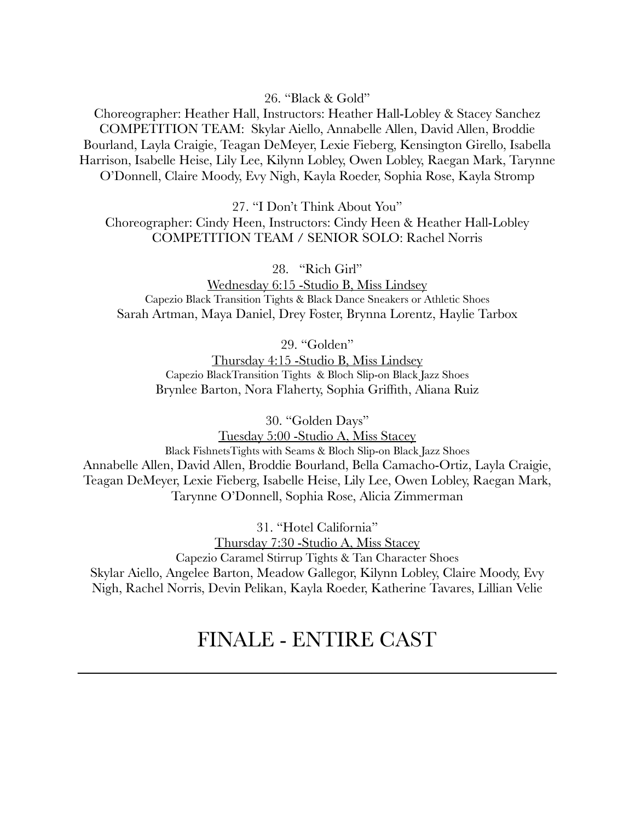26. "Black & Gold"

Choreographer: Heather Hall, Instructors: Heather Hall-Lobley & Stacey Sanchez COMPETITION TEAM: Skylar Aiello, Annabelle Allen, David Allen, Broddie Bourland, Layla Craigie, Teagan DeMeyer, Lexie Fieberg, Kensington Girello, Isabella Harrison, Isabelle Heise, Lily Lee, Kilynn Lobley, Owen Lobley, Raegan Mark, Tarynne O'Donnell, Claire Moody, Evy Nigh, Kayla Roeder, Sophia Rose, Kayla Stromp

27. "I Don't Think About You"

Choreographer: Cindy Heen, Instructors: Cindy Heen & Heather Hall-Lobley COMPETITION TEAM / SENIOR SOLO: Rachel Norris

28. "Rich Girl"

Wednesday 6:15 -Studio B, Miss Lindsey Capezio Black Transition Tights & Black Dance Sneakers or Athletic Shoes Sarah Artman, Maya Daniel, Drey Foster, Brynna Lorentz, Haylie Tarbox

29. "Golden"

Thursday 4:15 -Studio B, Miss Lindsey Capezio BlackTransition Tights & Bloch Slip-on Black Jazz Shoes Brynlee Barton, Nora Flaherty, Sophia Griffith, Aliana Ruiz

30. "Golden Days"

Tuesday 5:00 -Studio A, Miss Stacey Black FishnetsTights with Seams & Bloch Slip-on Black Jazz Shoes Annabelle Allen, David Allen, Broddie Bourland, Bella Camacho-Ortiz, Layla Craigie, Teagan DeMeyer, Lexie Fieberg, Isabelle Heise, Lily Lee, Owen Lobley, Raegan Mark, Tarynne O'Donnell, Sophia Rose, Alicia Zimmerman

31. "Hotel California" Thursday 7:30 -Studio A, Miss Stacey Capezio Caramel Stirrup Tights & Tan Character Shoes Skylar Aiello, Angelee Barton, Meadow Gallegor, Kilynn Lobley, Claire Moody, Evy Nigh, Rachel Norris, Devin Pelikan, Kayla Roeder, Katherine Tavares, Lillian Velie

### FINALE - ENTIRE CAST

 $\mathcal{L}=\{1,2,3,4,5\}$  , where  $\mathcal{L}=\{1,2,3,4,5\}$  , where  $\mathcal{L}=\{1,2,3,4,5\}$  ,  $\mathcal{L}=\{1,2,3,4,5\}$  ,  $\mathcal{L}=\{1,2,3,4,5\}$  ,  $\mathcal{L}=\{1,2,3,4,5\}$  ,  $\mathcal{L}=\{1,2,3,4,5\}$  ,  $\mathcal{L}=\{1,2,3,4,5\}$  ,  $\mathcal{L}=\{1,2,3,4,$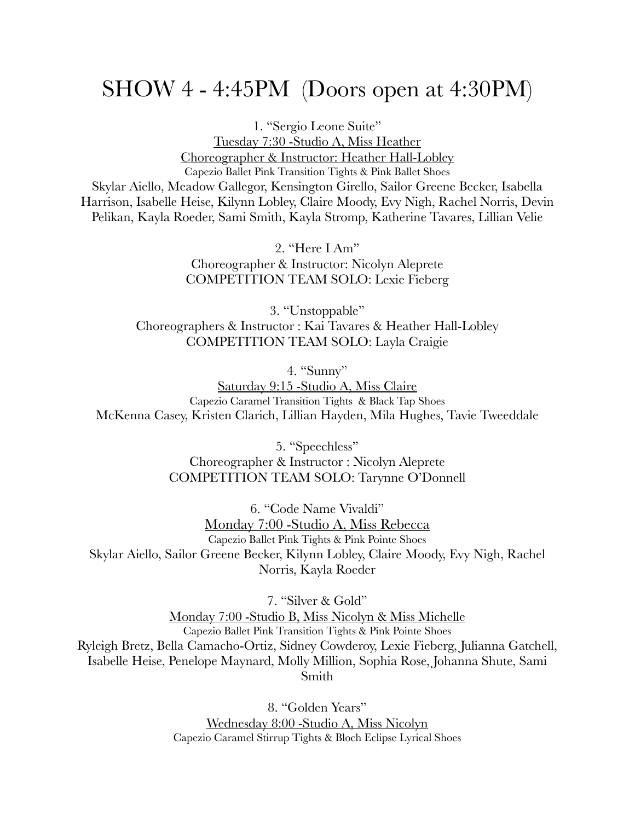# SHOW 4 - 4:45PM (Doors open at 4:30PM)

1. "Sergio Leone Suite" Tuesday 7:30 -Studio A, Miss Heather Choreographer & Instructor: Heather Hall-Lobley Capezio Ballet Pink Transition Tights & Pink Ballet Shoes Skylar Aiello, Meadow Gallegor, Kensington Girello, Sailor Greene Becker, Isabella Harrison, Isabelle Heise, Kilynn Lobley, Claire Moody, Evy Nigh, Rachel Norris, Devin Pelikan, Kayla Roeder, Sami Smith, Kayla Stromp, Katherine Tavares, Lillian Velie

> 2. "Here I Am" Choreographer & Instructor: Nicolyn Aleprete COMPETITION TEAM SOLO: Lexie Fieberg

3. "Unstoppable" Choreographers & Instructor : Kai Tavares & Heather Hall-Lobley COMPETITION TEAM SOLO: Layla Craigie

4. "Sunny" Saturday 9:15 -Studio A, Miss Claire Capezio Caramel Transition Tights & Black Tap Shoes McKenna Casey, Kristen Clarich, Lillian Hayden, Mila Hughes, Tavie Tweeddale

> 5. "Speechless" Choreographer & Instructor : Nicolyn Aleprete COMPETITION TEAM SOLO: Tarynne O'Donnell

6. "Code Name Vivaldi" Monday 7:00 -Studio A, Miss Rebecca Capezio Ballet Pink Tights & Pink Pointe Shoes Skylar Aiello, Sailor Greene Becker, Kilynn Lobley, Claire Moody, Evy Nigh, Rachel Norris, Kayla Roeder

7. "Silver & Gold"

Monday 7:00 -Studio B, Miss Nicolyn & Miss Michelle Capezio Ballet Pink Transition Tights & Pink Pointe Shoes Ryleigh Bretz, Bella Camacho-Ortiz, Sidney Cowderoy, Lexie Fieberg, Julianna Gatchell, Isabelle Heise, Penelope Maynard, Molly Million, Sophia Rose, Johanna Shute, Sami Smith

> 8. "Golden Years" Wednesday 8:00 -Studio A, Miss Nicolyn Capezio Caramel Stirrup Tights & Bloch Eclipse Lyrical Shoes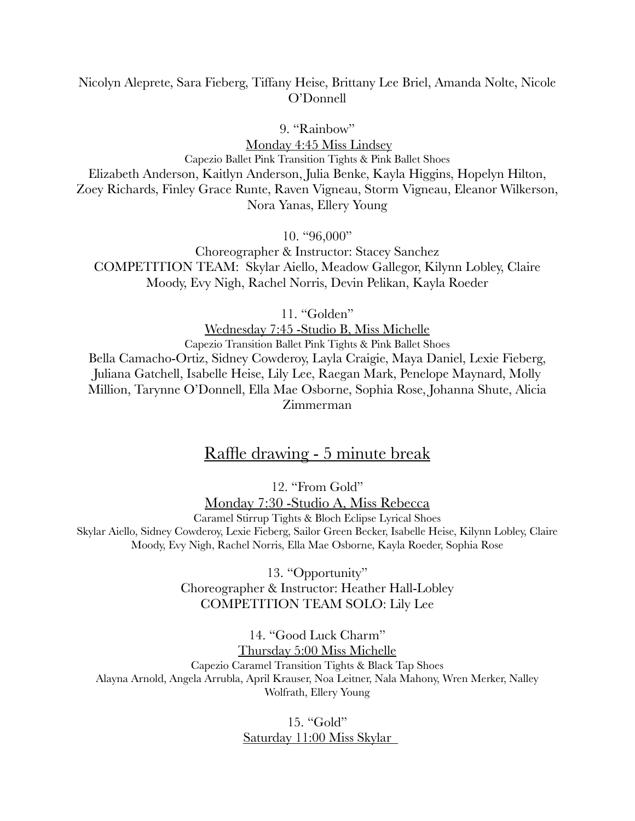#### Nicolyn Aleprete, Sara Fieberg, Tiffany Heise, Brittany Lee Briel, Amanda Nolte, Nicole O'Donnell

9. "Rainbow"

Monday 4:45 Miss Lindsey Capezio Ballet Pink Transition Tights & Pink Ballet Shoes Elizabeth Anderson, Kaitlyn Anderson, Julia Benke, Kayla Higgins, Hopelyn Hilton, Zoey Richards, Finley Grace Runte, Raven Vigneau, Storm Vigneau, Eleanor Wilkerson, Nora Yanas, Ellery Young

10. "96,000"

Choreographer & Instructor: Stacey Sanchez COMPETITION TEAM: Skylar Aiello, Meadow Gallegor, Kilynn Lobley, Claire Moody, Evy Nigh, Rachel Norris, Devin Pelikan, Kayla Roeder

11. "Golden"

Wednesday 7:45 -Studio B, Miss Michelle Capezio Transition Ballet Pink Tights & Pink Ballet Shoes Bella Camacho-Ortiz, Sidney Cowderoy, Layla Craigie, Maya Daniel, Lexie Fieberg, Juliana Gatchell, Isabelle Heise, Lily Lee, Raegan Mark, Penelope Maynard, Molly Million, Tarynne O'Donnell, Ella Mae Osborne, Sophia Rose, Johanna Shute, Alicia Zimmerman

### Raffle drawing - 5 minute break

12. "From Gold"

Monday 7:30 -Studio A, Miss Rebecca Caramel Stirrup Tights & Bloch Eclipse Lyrical Shoes Skylar Aiello, Sidney Cowderoy, Lexie Fieberg, Sailor Green Becker, Isabelle Heise, Kilynn Lobley, Claire Moody, Evy Nigh, Rachel Norris, Ella Mae Osborne, Kayla Roeder, Sophia Rose

> 13. "Opportunity" Choreographer & Instructor: Heather Hall-Lobley COMPETITION TEAM SOLO: Lily Lee

14. "Good Luck Charm" Thursday 5:00 Miss Michelle Capezio Caramel Transition Tights & Black Tap Shoes Alayna Arnold, Angela Arrubla, April Krauser, Noa Leitner, Nala Mahony, Wren Merker, Nalley Wolfrath, Ellery Young

> 15. "Gold" Saturday 11:00 Miss Skylar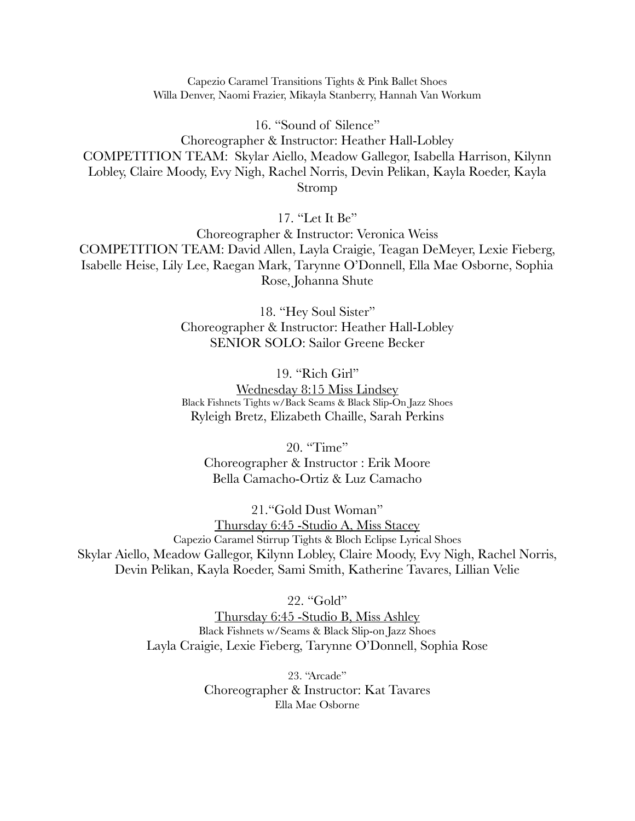Capezio Caramel Transitions Tights & Pink Ballet Shoes Willa Denver, Naomi Frazier, Mikayla Stanberry, Hannah Van Workum

16. "Sound of Silence" Choreographer & Instructor: Heather Hall-Lobley COMPETITION TEAM: Skylar Aiello, Meadow Gallegor, Isabella Harrison, Kilynn Lobley, Claire Moody, Evy Nigh, Rachel Norris, Devin Pelikan, Kayla Roeder, Kayla Stromp

17. "Let It Be"

Choreographer & Instructor: Veronica Weiss COMPETITION TEAM: David Allen, Layla Craigie, Teagan DeMeyer, Lexie Fieberg, Isabelle Heise, Lily Lee, Raegan Mark, Tarynne O'Donnell, Ella Mae Osborne, Sophia Rose, Johanna Shute

> 18. "Hey Soul Sister" Choreographer & Instructor: Heather Hall-Lobley SENIOR SOLO: Sailor Greene Becker

> 19. "Rich Girl" Wednesday 8:15 Miss Lindsey Black Fishnets Tights w/Back Seams & Black Slip-On Jazz Shoes Ryleigh Bretz, Elizabeth Chaille, Sarah Perkins

20. "Time" Choreographer & Instructor : Erik Moore Bella Camacho-Ortiz & Luz Camacho

21."Gold Dust Woman" Thursday 6:45 -Studio A, Miss Stacey Capezio Caramel Stirrup Tights & Bloch Eclipse Lyrical Shoes Skylar Aiello, Meadow Gallegor, Kilynn Lobley, Claire Moody, Evy Nigh, Rachel Norris, Devin Pelikan, Kayla Roeder, Sami Smith, Katherine Tavares, Lillian Velie

22. "Gold"

Thursday 6:45 -Studio B, Miss Ashley Black Fishnets w/Seams & Black Slip-on Jazz Shoes Layla Craigie, Lexie Fieberg, Tarynne O'Donnell, Sophia Rose

> 23. "Arcade" Choreographer & Instructor: Kat Tavares Ella Mae Osborne